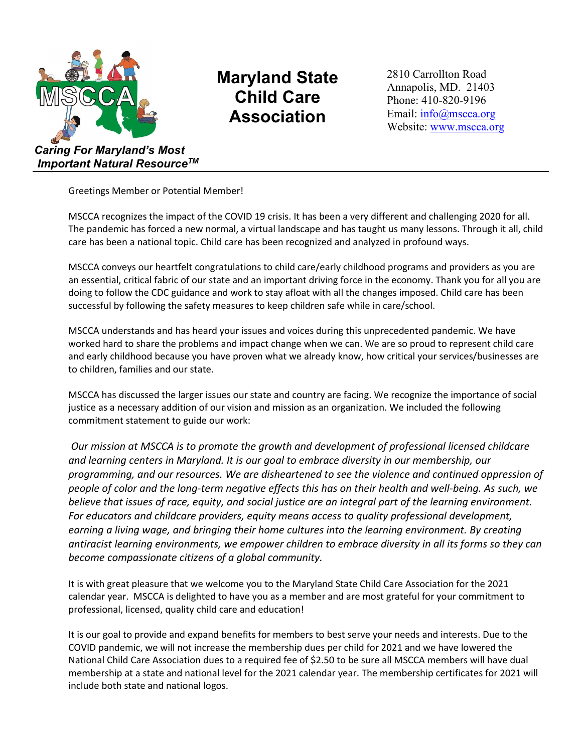

*Important Natural ResourceTM*

## **Maryland State Child Care Association**

2810 Carrollton Road Annapolis, MD. 21403 Phone: 410-820-9196 Email: info@mscca.org Website: [www.mscca.org](http://www.mscca.org/)

Greetings Member or Potential Member!

MSCCA recognizes the impact of the COVID 19 crisis. It has been a very different and challenging 2020 for all. The pandemic has forced a new normal, a virtual landscape and has taught us many lessons. Through it all, child care has been a national topic. Child care has been recognized and analyzed in profound ways.

MSCCA conveys our heartfelt congratulations to child care/early childhood programs and providers as you are an essential, critical fabric of our state and an important driving force in the economy. Thank you for all you are doing to follow the CDC guidance and work to stay afloat with all the changes imposed. Child care has been successful by following the safety measures to keep children safe while in care/school.

MSCCA understands and has heard your issues and voices during this unprecedented pandemic. We have worked hard to share the problems and impact change when we can. We are so proud to represent child care and early childhood because you have proven what we already know, how critical your services/businesses are to children, families and our state.

MSCCA has discussed the larger issues our state and country are facing. We recognize the importance of social justice as a necessary addition of our vision and mission as an organization. We included the following commitment statement to guide our work:

*Our mission at MSCCA is to promote the growth and development of professional licensed childcare and learning centers in Maryland. It is our goal to embrace diversity in our membership, our programming, and our resources. We are disheartened to see the violence and continued oppression of people of color and the long-term negative effects this has on their health and well-being. As such, we believe that issues of race, equity, and social justice are an integral part of the learning environment. For educators and childcare providers, equity means access to quality professional development, earning a living wage, and bringing their home cultures into the learning environment. By creating antiracist learning environments, we empower children to embrace diversity in all its forms so they can become compassionate citizens of a global community.* 

It is with great pleasure that we welcome you to the Maryland State Child Care Association for the 2021 calendar year. MSCCA is delighted to have you as a member and are most grateful for your commitment to professional, licensed, quality child care and education!

It is our goal to provide and expand benefits for members to best serve your needs and interests. Due to the COVID pandemic, we will not increase the membership dues per child for 2021 and we have lowered the National Child Care Association dues to a required fee of \$2.50 to be sure all MSCCA members will have dual membership at a state and national level for the 2021 calendar year. The membership certificates for 2021 will include both state and national logos.